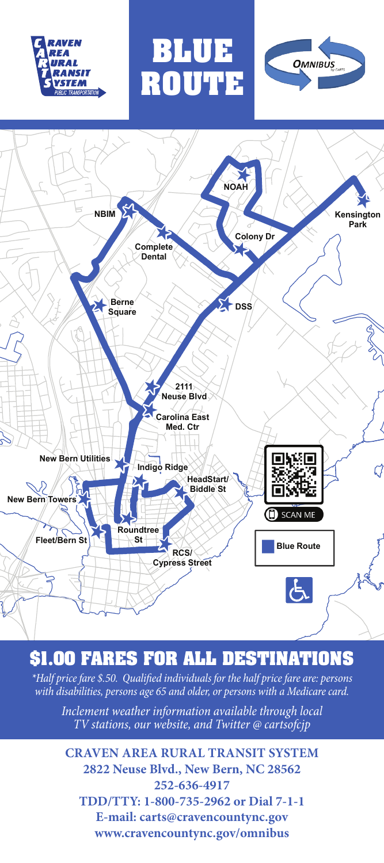





**BLUE**

**ROUTE**

## **\$1.00 FARES FOR ALL DESTINATIONS**

*\*Half price fare \$.50. Qualified individuals for the half price fare are: persons with disabilities, persons age 65 and older, or persons with a Medicare card.*

*Inclement weather information available through local TV stations, our website, and Twitter @ cartsofcjp*

**CRAVEN AREA RURAL TRANSIT SYSTEM 2822 Neuse Blvd., New Bern, NC 28562 252-636-4917 TDD/TTY: 1-800-735-2962 or Dial 7-1-1 E-mail: carts@cravencountync.gov www.cravencountync.gov/omnibus**